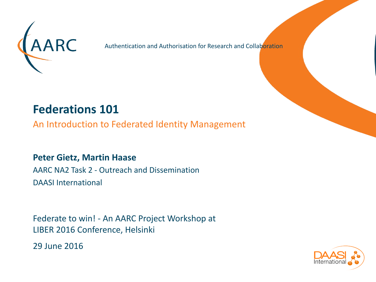

Authentication and Authorisation for Research and Collaboration

## **Federations 101**

An Introduction to Federated Identity Management

#### **Peter Gietz, Martin Haase**

AARC NA2 Task 2 - Outreach and Dissemination DAASI International

Federate to win! - An AARC Project Workshop at LIBER 2016 Conference, Helsinki

29 June 2016

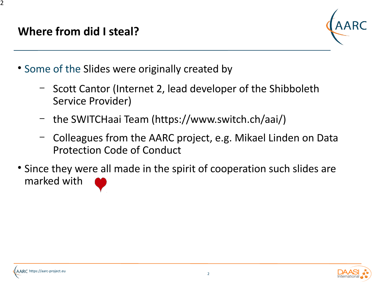#### **Where from did I steal?**



- Some of the Slides were originally created by
	- Scott Cantor (Internet 2, lead developer of the Shibboleth Service Provider)
	- the SWITCHaai Team ([https://www.switch.ch/aai/\)](https://www.switch.ch/aai/)
	- Colleagues from the AARC project, e.g. Mikael Linden on Data Protection Code of Conduct
- Since they were all made in the spirit of cooperation such slides are marked with

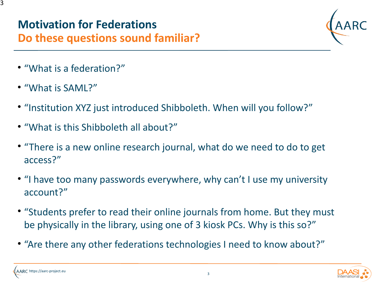3

## **Do these questions sound familiar?**

- "What is a federation?"
- "What is SAML?"
- "Institution XYZ just introduced Shibboleth. When will you follow?"
- "What is this Shibboleth all about?"
- "There is a new online research journal, what do we need to do to get access?"
- "I have too many passwords everywhere, why can't I use my university account?"
- "Students prefer to read their online journals from home. But they must be physically in the library, using one of 3 kiosk PCs. Why is this so?"
- "Are there any other federations technologies I need to know about?"

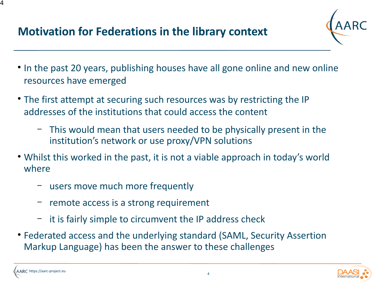## **Motivation for Federations in the library context**



- In the past 20 years, publishing houses have all gone online and new online resources have emerged
- The first attempt at securing such resources was by restricting the IP addresses of the institutions that could access the content
	- This would mean that users needed to be physically present in the institution's network or use proxy/VPN solutions
- Whilst this worked in the past, it is not a viable approach in today's world where
	- users move much more frequently
	- remote access is a strong requirement
	- it is fairly simple to circumvent the IP address check
- Federated access and the underlying standard (SAML, Security Assertion Markup Language) has been the answer to these challenges

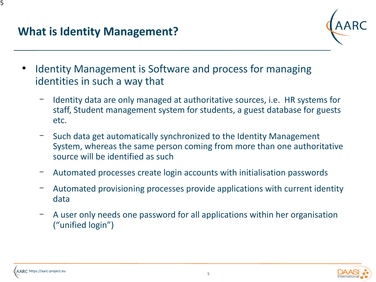

- Identity Management is Software and process for managing identities in such a way that
	- Identity data are only managed at authoritative sources, i.e. HR systems for staff, Student management system for students, a guest database for guests etc.
	- Such data get automatically synchronized to the Identity Management System, whereas the same person coming from more than one authoritative source will be identified as such
	- Automated processes create login accounts with initialisation passwords
	- Automated provisioning processes provide applications with current identity data
	- A user only needs one password for all applications within her organisation ("unified login")

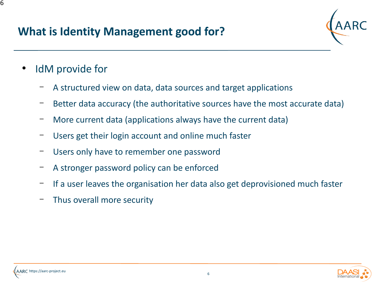## **What is Identity Management good for?**



- IdM provide for
	- A structured view on data, data sources and target applications
	- Better data accuracy (the authoritative sources have the most accurate data)
	- More current data (applications always have the current data)
	- Users get their login account and online much faster
	- Users only have to remember one password
	- A stronger password policy can be enforced
	- If a user leaves the organisation her data also get deprovisioned much faster
	- Thus overall more security

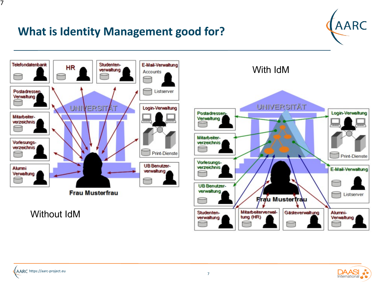## **What is Identity Management good for?**





Without IdM



With IdM

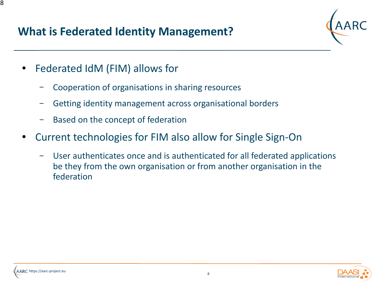## **What is Federated Identity Management?**



- Federated IdM (FIM) allows for
	- Cooperation of organisations in sharing resources
	- Getting identity management across organisational borders
	- Based on the concept of federation
- Current technologies for FIM also allow for Single Sign-On
	- User authenticates once and is authenticated for all federated applications be they from the own organisation or from another organisation in the federation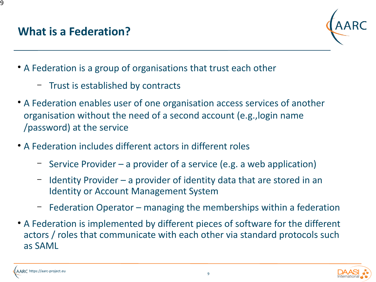

- A Federation is a group of organisations that trust each other
	- Trust is established by contracts
- A Federation enables user of one organisation access services of another organisation without the need of a second account (e.g.,login name /password) at the service
- A Federation includes different actors in different roles
	- Service Provider a provider of a service (e.g. a web application)
	- Identity Provider a provider of identity data that are stored in an Identity or Account Management System
	- Federation Operator managing the memberships within a federation
- A Federation is implemented by different pieces of software for the different actors / roles that communicate with each other via standard protocols such as SAML

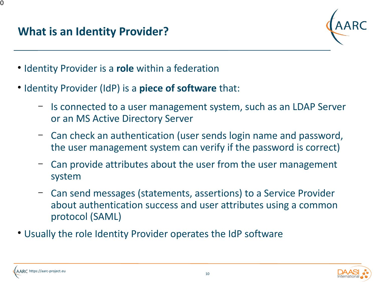

- Identity Provider is a **role** within a federation
- Identity Provider (IdP) is a **piece of software** that:
	- Is connected to a user management system, such as an LDAP Server or an MS Active Directory Server
	- Can check an authentication (user sends login name and password, the user management system can verify if the password is correct)
	- Can provide attributes about the user from the user management system
	- Can send messages (statements, assertions) to a Service Provider about authentication success and user attributes using a common protocol (SAML)
- Usually the role Identity Provider operates the IdP software

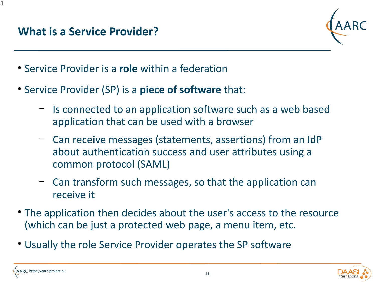#### **What is a Service Provider?**



- Service Provider is a **role** within a federation
- Service Provider (SP) is a **piece of software** that:
	- Is connected to an application software such as a web based application that can be used with a browser
	- Can receive messages (statements, assertions) from an IdP about authentication success and user attributes using a common protocol (SAML)
	- Can transform such messages, so that the application can receive it
- The application then decides about the user's access to the resource (which can be just a protected web page, a menu item, etc.
- Usually the role Service Provider operates the SP software

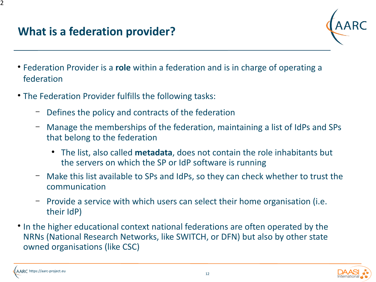

- Federation Provider is a **role** within a federation and is in charge of operating a federation
- The Federation Provider fulfills the following tasks:
	- Defines the policy and contracts of the federation
	- Manage the memberships of the federation, maintaining a list of IdPs and SPs that belong to the federation
		- The list, also called **metadata**, does not contain the role inhabitants but the servers on which the SP or IdP software is running
	- Make this list available to SPs and IdPs, so they can check whether to trust the communication
	- Provide a service with which users can select their home organisation (i.e. their IdP)
- In the higher educational context national federations are often operated by the NRNs (National Research Networks, like SWITCH, or DFN) but also by other state owned organisations (like CSC)

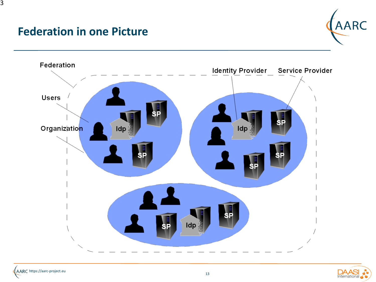#### **Federation in one Picture**





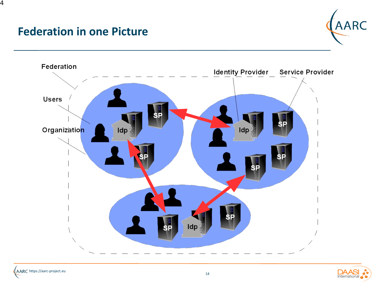#### **Federation in one Picture**





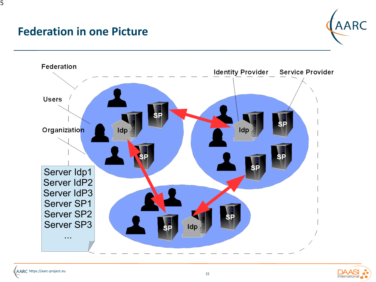#### **Federation in one Picture**





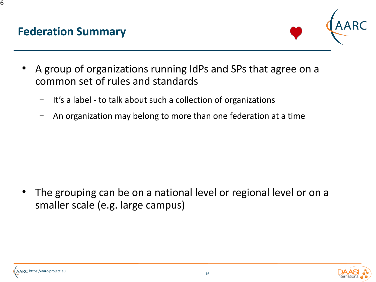#### **Federation Summary**



- A group of organizations running IdPs and SPs that agree on a common set of rules and standards
	- It's a label to talk about such a collection of organizations
	- An organization may belong to more than one federation at a time

The grouping can be on a national level or regional level or on a smaller scale (e.g. large campus)

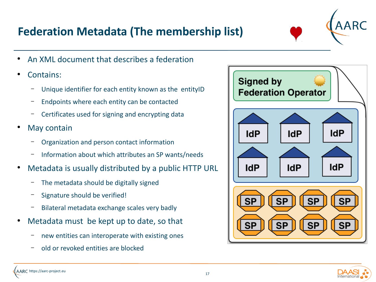## **Federation Metadata (The membership list)**



- An XML document that describes a federation
- Contains:
	- Unique identifier for each entity known as the entityID
	- Endpoints where each entity can be contacted
	- Certificates used for signing and encrypting data
- May contain
	- Organization and person contact information
	- Information about which attributes an SP wants/needs
- Metadata is usually distributed by a public HTTP URL
	- The metadata should be digitally signed
	- Signature should be verified!
	- Bilateral metadata exchange scales very badly
- Metadata must be kept up to date, so that
	- new entities can interoperate with existing ones
	- old or revoked entities are blocked



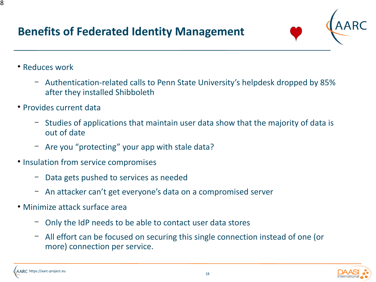## **Benefits of Federated Identity Management**



- Reduces work
	- Authentication-related calls to Penn State University's helpdesk dropped by 85% after they installed Shibboleth
- Provides current data
	- Studies of applications that maintain user data show that the majority of data is out of date
	- Are you "protecting" your app with stale data?
- Insulation from service compromises
	- Data gets pushed to services as needed
	- An attacker can't get everyone's data on a compromised server
- Minimize attack surface area
	- Only the IdP needs to be able to contact user data stores
	- All effort can be focused on securing this single connection instead of one (or more) connection per service.

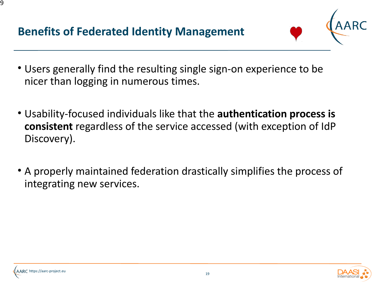## **Benefits of Federated Identity Management**



- Users generally find the resulting single sign-on experience to be nicer than logging in numerous times.
- Usability-focused individuals like that the **authentication process is consistent** regardless of the service accessed (with exception of IdP Discovery).
- A properly maintained federation drastically simplifies the process of integrating new services.

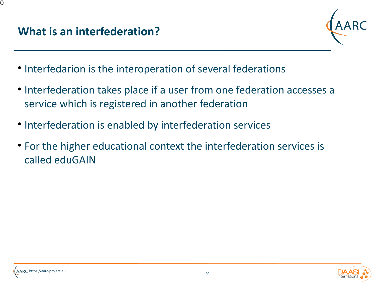

- Interfedarion is the interoperation of several federations
- Interfederation takes place if a user from one federation accesses a service which is registered in another federation
- Interfederation is enabled by interfederation services
- For the higher educational context the interfederation services is called eduGAIN

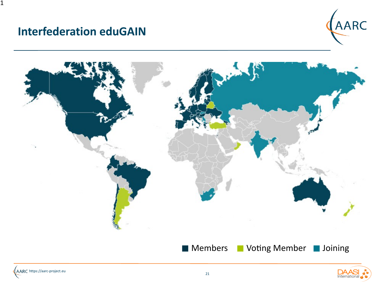#### **Interfederation eduGAIN**

 $\mathbf 1$ 





Members

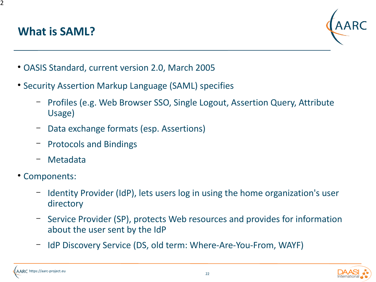## **What is SAML?**



- OASIS Standard, current version 2.0, March 2005
- Security Assertion Markup Language (SAML) specifies
	- Profiles (e.g. Web Browser SSO, Single Logout, Assertion Query, Attribute Usage)
	- Data exchange formats (esp. Assertions)
	- Protocols and Bindings
	- Metadata
- Components:
	- Identity Provider (IdP), lets users log in using the home organization's user directory
	- Service Provider (SP), protects Web resources and provides for information about the user sent by the IdP
	- IdP Discovery Service (DS, old term: Where-Are-You-From, WAYF)



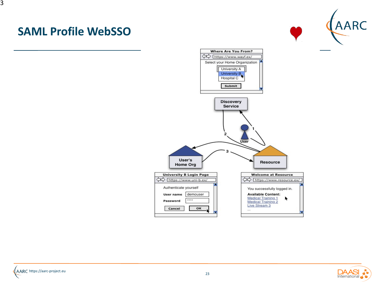#### **SAML Profile WebSSO**





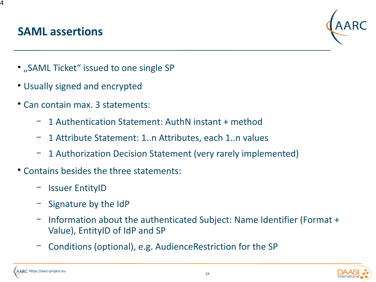#### **SAML assertions**



- "SAML Ticket" issued to one single SP
- Usually signed and encrypted
- Can contain max. 3 statements:
	- 1 Authentication Statement: AuthN instant + method
	- 1 Attribute Statement: 1..n Attributes, each 1..n values
	- 1 Authorization Decision Statement (very rarely implemented)
- Contains besides the three statements:
	- Issuer EntityID
	- Signature by the IdP
	- Information about the authenticated Subject: Name Identifier (Format + Value), EntityID of IdP and SP
	- Conditions (optional), e.g. AudienceRestriction for the SP



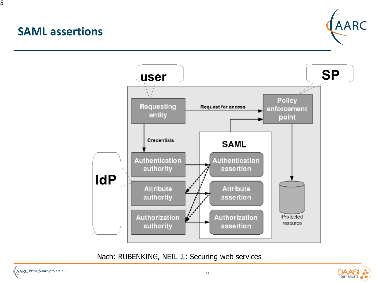#### **SAML assertions**

25





Nach: RUBENKING, NEIL J.: Securing web services

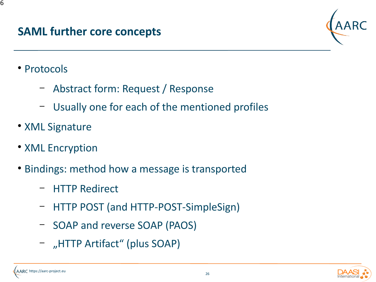

• Protocols

- Abstract form: Request / Response
- Usually one for each of the mentioned profiles
- XML Signature
- XML Encryption
- Bindings: method how a message is transported
	- HTTP Redirect
	- HTTP POST (and HTTP-POST-SimpleSign)
	- SOAP and reverse SOAP (PAOS)
	- "HTTP Artifact" (plus SOAP)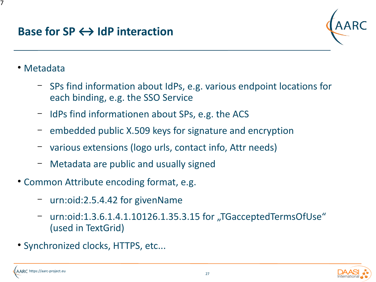#### **Base for SP ← IdP interaction**



• Metadata

- SPs find information about IdPs, e.g. various endpoint locations for each binding, e.g. the SSO Service
- IdPs find informationen about SPs, e.g. the ACS
- embedded public X.509 keys for signature and encryption
- various extensions (logo urls, contact info, Attr needs)
- Metadata are public and usually signed
- Common Attribute encoding format, e.g.
	- urn:oid:2.5.4.42 for givenName
	- urn:oid:1.3.6.1.4.1.10126.1.35.3.15 for "TGacceptedTermsOfUse" (used in TextGrid)
- Synchronized clocks, HTTPS, etc...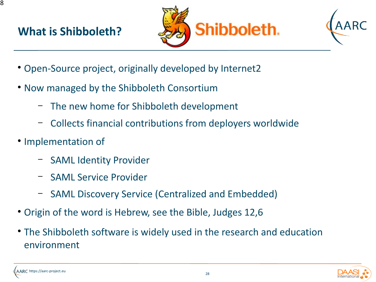## **What is Shibboleth?**





- Open-Source project, originally developed by Internet2
- Now managed by the Shibboleth Consortium
	- The new home for Shibboleth development
	- Collects financial contributions from deployers worldwide
- Implementation of
	- SAML Identity Provider
	- SAML Service Provider
	- SAML Discovery Service (Centralized and Embedded)
- Origin of the word is Hebrew, see the Bible, Judges 12,6
- The Shibboleth software is widely used in the research and education environment

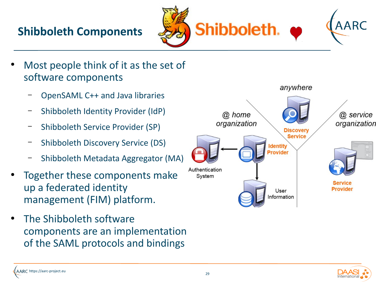## **Shibboleth Components**



- Most people think of it as the set of software components
	- OpenSAML C++ and Java libraries
	- Shibboleth Identity Provider (IdP)
	- Shibboleth Service Provider (SP)
	- Shibboleth Discovery Service (DS)
	- Shibboleth Metadata Aggregator (MA)
- Together these components make up a federated identity management (FIM) platform.
- The Shibboleth software components are an implementation of the SAML protocols and bindings



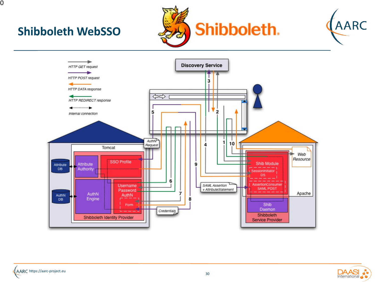

## **Shibboleth WebSSO**





AARC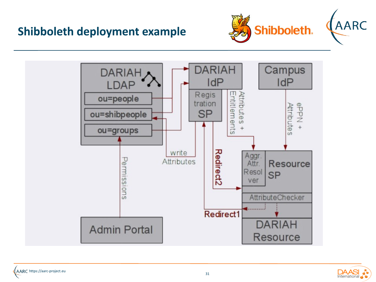





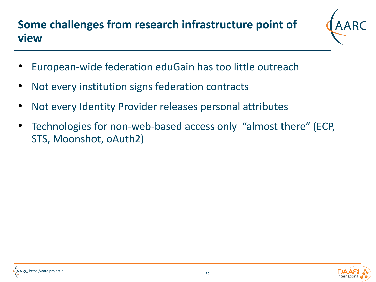## **Some challenges from research infrastructure point of view**



- European-wide federation eduGain has too little outreach
- Not every institution signs federation contracts
- Not every Identity Provider releases personal attributes
- Technologies for non-web-based access only "almost there" (ECP, STS, Moonshot, oAuth2)

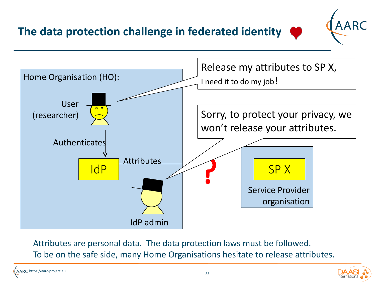**The data protection challenge in federated identity**



Attributes are personal data. The data protection laws must be followed. To be on the safe side, many Home Organisations hesitate to release attributes.

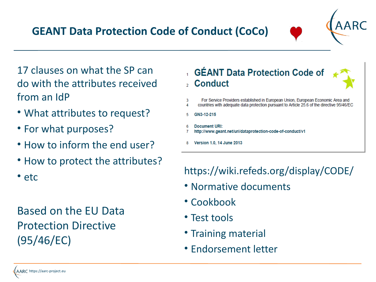17 clauses on what the SP can do with the attributes received from an IdP

- What attributes to request?
- For what purposes?
- How to inform the end user?
- How to protect the attributes?
- etc

Based on the EU Data Protection Directive (95/46/EC)

- GÉANT Data Protection Code of , Conduct
- For Service Providers established in European Union, European Economic Area and 3
- countries with adequate data protection pursuant to Article 25.6 of the directive 95/46/EC 4
- 5 GN3-12-215
- **Document URI:** http://www.geant.net/uri/dataprotection-code-of-conduct/v1
- Version 1.0. 14 June 2013

https://wiki.refeds.org/display/CODE/

- Normative documents
- Cookbook
- Test tools
- Training material
- Endorsement letter

## **GEANT Data Protection Code of Conduct (CoCo)**

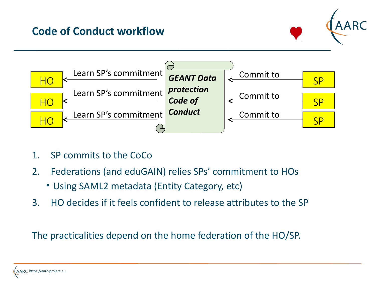#### **Code of Conduct workflow**





- 1. SP commits to the CoCo
- 2. Federations (and eduGAIN) relies SPs' commitment to HOs
	- Using SAML2 metadata (Entity Category, etc)
- 3. HO decides if it feels confident to release attributes to the SP

The practicalities depend on the home federation of the HO/SP.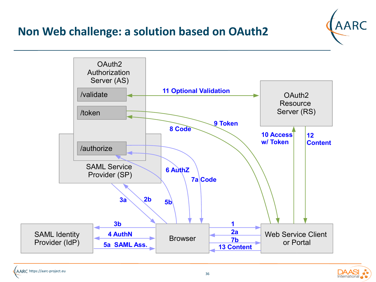#### **Non Web challenge: a solution based on OAuth2**





AARC